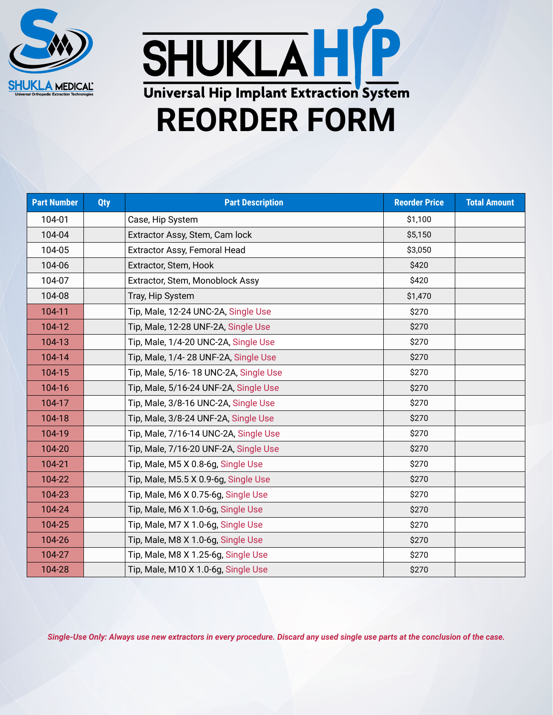



| <b>Part Number</b> | <b>Qty</b> | <b>Part Description</b>               | <b>Reorder Price</b> | <b>Total Amount</b> |
|--------------------|------------|---------------------------------------|----------------------|---------------------|
| 104-01             |            | Case, Hip System                      | \$1,100              |                     |
| 104-04             |            | Extractor Assy, Stem, Cam lock        | \$5,150              |                     |
| 104-05             |            | Extractor Assy, Femoral Head          | \$3,050              |                     |
| 104-06             |            | Extractor, Stem, Hook                 | \$420                |                     |
| 104-07             |            | Extractor, Stem, Monoblock Assy       | \$420                |                     |
| 104-08             |            | Tray, Hip System                      | \$1,470              |                     |
| 104-11             |            | Tip, Male, 12-24 UNC-2A, Single Use   | \$270                |                     |
| 104-12             |            | Tip, Male, 12-28 UNF-2A, Single Use   | \$270                |                     |
| 104-13             |            | Tip, Male, 1/4-20 UNC-2A, Single Use  | \$270                |                     |
| 104-14             |            | Tip, Male, 1/4-28 UNF-2A, Single Use  | \$270                |                     |
| 104-15             |            | Tip, Male, 5/16-18 UNC-2A, Single Use | \$270                |                     |
| 104-16             |            | Tip, Male, 5/16-24 UNF-2A, Single Use | \$270                |                     |
| 104-17             |            | Tip, Male, 3/8-16 UNC-2A, Single Use  | \$270                |                     |
| 104-18             |            | Tip, Male, 3/8-24 UNF-2A, Single Use  | \$270                |                     |
| 104-19             |            | Tip, Male, 7/16-14 UNC-2A, Single Use | \$270                |                     |
| 104-20             |            | Tip, Male, 7/16-20 UNF-2A, Single Use | \$270                |                     |
| 104-21             |            | Tip, Male, M5 X 0.8-6g, Single Use    | \$270                |                     |
| 104-22             |            | Tip, Male, M5.5 X 0.9-6g, Single Use  | \$270                |                     |
| 104-23             |            | Tip, Male, M6 X 0.75-6g, Single Use   | \$270                |                     |
| 104-24             |            | Tip, Male, M6 X 1.0-6g, Single Use    | \$270                |                     |
| 104-25             |            | Tip, Male, M7 X 1.0-6g, Single Use    | \$270                |                     |
| 104-26             |            | Tip, Male, M8 X 1.0-6g, Single Use    | \$270                |                     |
| 104-27             |            | Tip, Male, M8 X 1.25-6g, Single Use   | \$270                |                     |
| 104-28             |            | Tip, Male, M10 X 1.0-6g, Single Use   | \$270                |                     |

*Single-Use Only: Always use new extractors in every procedure. Discard any used single use parts at the conclusion of the case.*